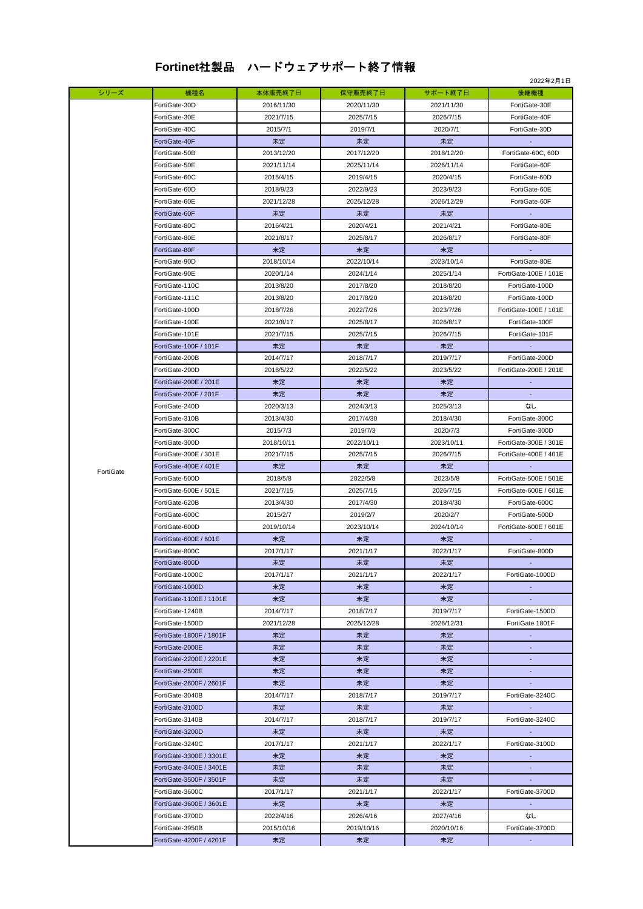## **Fortinet**社製品 ハードウェアサポート終了情報

|           |                         |            |            |            | 2022年2月1日                |
|-----------|-------------------------|------------|------------|------------|--------------------------|
| シリーズ      | 機種名                     | 本体販売終了日    | 保守販売終了日    | サポート終了日    | 後継機種                     |
|           | FortiGate-30D           | 2016/11/30 | 2020/11/30 | 2021/11/30 | FortiGate-30E            |
|           | FortiGate-30E           | 2021/7/15  | 2025/7/15  | 2026/7/15  | FortiGate-40F            |
|           | FortiGate-40C           | 2015/7/1   | 2019/7/1   | 2020/7/1   | FortiGate-30D            |
|           | FortiGate-40F           | 未定         | 未定         | 未定         |                          |
|           | FortiGate-50B           | 2013/12/20 | 2017/12/20 | 2018/12/20 | FortiGate-60C, 60D       |
|           |                         | 2021/11/14 |            |            |                          |
|           | FortiGate-50E           |            | 2025/11/14 | 2026/11/14 | FortiGate-60F            |
|           | FortiGate-60C           | 2015/4/15  | 2019/4/15  | 2020/4/15  | FortiGate-60D            |
|           | FortiGate-60D           | 2018/9/23  | 2022/9/23  | 2023/9/23  | FortiGate-60E            |
|           | FortiGate-60E           | 2021/12/28 | 2025/12/28 | 2026/12/29 | FortiGate-60F            |
|           | FortiGate-60F           | 未定         | 未定         | 未定         |                          |
|           | FortiGate-80C           | 2016/4/21  | 2020/4/21  | 2021/4/21  | FortiGate-80E            |
|           | FortiGate-80E           | 2021/8/17  | 2025/8/17  | 2026/8/17  | FortiGate-80F            |
|           | FortiGate-80F           | 未定         | 未定         | 未定         |                          |
|           | FortiGate-90D           | 2018/10/14 | 2022/10/14 | 2023/10/14 | FortiGate-80E            |
|           | FortiGate-90E           | 2020/1/14  | 2024/1/14  | 2025/1/14  | FortiGate-100E / 101E    |
|           | FortiGate-110C          | 2013/8/20  | 2017/8/20  | 2018/8/20  | FortiGate-100D           |
|           | FortiGate-111C          | 2013/8/20  | 2017/8/20  | 2018/8/20  | FortiGate-100D           |
|           | FortiGate-100D          | 2018/7/26  | 2022/7/26  | 2023/7/26  | FortiGate-100E / 101E    |
|           | FortiGate-100E          | 2021/8/17  |            | 2026/8/17  | FortiGate-100F           |
|           |                         |            | 2025/8/17  |            |                          |
|           | FortiGate-101E          | 2021/7/15  | 2025/7/15  | 2026/7/15  | FortiGate-101F           |
|           | FortiGate-100F / 101F   | 未定         | 未定         | 未定         |                          |
|           | FortiGate-200B          | 2014/7/17  | 2018/7/17  | 2019/7/17  | FortiGate-200D           |
|           | FortiGate-200D          | 2018/5/22  | 2022/5/22  | 2023/5/22  | FortiGate-200E / 201E    |
|           | FortiGate-200E / 201E   | 未定         | 未定         | 未定         |                          |
|           | FortiGate-200F / 201F   | 未定         | 未定         | 未定         |                          |
|           | FortiGate-240D          | 2020/3/13  | 2024/3/13  | 2025/3/13  | なし                       |
|           | FortiGate-310B          | 2013/4/30  | 2017/4/30  | 2018/4/30  | FortiGate-300C           |
|           | FortiGate-300C          | 2015/7/3   | 2019/7/3   | 2020/7/3   | FortiGate-300D           |
|           | FortiGate-300D          | 2018/10/11 | 2022/10/11 | 2023/10/11 | FortiGate-300E / 301E    |
|           | FortiGate-300E / 301E   | 2021/7/15  | 2025/7/15  | 2026/7/15  | FortiGate-400E / 401E    |
|           | FortiGate-400E / 401E   | 未定         | 未定         | 未定         |                          |
| FortiGate | FortiGate-500D          | 2018/5/8   | 2022/5/8   | 2023/5/8   | FortiGate-500E / 501E    |
|           | FortiGate-500E / 501E   | 2021/7/15  | 2025/7/15  | 2026/7/15  | FortiGate-600E / 601E    |
|           | FortiGate-620B          | 2013/4/30  | 2017/4/30  | 2018/4/30  | FortiGate-600C           |
|           | FortiGate-600C          | 2015/2/7   | 2019/2/7   | 2020/2/7   | FortiGate-500D           |
|           | FortiGate-600D          | 2019/10/14 | 2023/10/14 | 2024/10/14 | FortiGate-600E / 601E    |
|           | FortiGate-600E / 601E   | 未定         | 未定         | 未定         |                          |
|           | FortiGate-800C          | 2017/1/17  | 2021/1/17  | 2022/1/17  | FortiGate-800D           |
|           | FortiGate-800D          | 未定         | 未定         |            |                          |
|           |                         |            |            | 未定         |                          |
|           | FortiGate-1000C         | 2017/1/17  | 2021/1/17  | 2022/1/17  | FortiGate-1000D          |
|           | FortiGate-1000D         | 未定         | 未定         | 未定         | $\omega$                 |
|           | FortiGate-1100E / 1101E | 未定         | 未定         | 未定         |                          |
|           | FortiGate-1240B         | 2014/7/17  | 2018/7/17  | 2019/7/17  | FortiGate-1500D          |
|           | FortiGate-1500D         | 2021/12/28 | 2025/12/28 | 2026/12/31 | FortiGate 1801F          |
|           | FortiGate-1800F / 1801F | 未定         | 未定         | 未定         | ÷.                       |
|           | FortiGate-2000E         | 未定         | 未定         | 未定         | $\overline{\phantom{a}}$ |
|           | FortiGate-2200E / 2201E | 未定         | 未定         | 未定         |                          |
|           | FortiGate-2500E         | 未定         | 未定         | 未定         |                          |
|           | FortiGate-2600F / 2601F | 未定         | 未定         | 未定         | $\overline{\phantom{a}}$ |
|           | FortiGate-3040B         | 2014/7/17  | 2018/7/17  | 2019/7/17  | FortiGate-3240C          |
|           | FortiGate-3100D         | 未定         | 未定         | 未定         | $\overline{\phantom{a}}$ |
|           | FortiGate-3140B         | 2014/7/17  | 2018/7/17  | 2019/7/17  | FortiGate-3240C          |
|           | FortiGate-3200D         | 未定         | 未定         | 未定         | $\sim$                   |
|           | FortiGate-3240C         | 2017/1/17  | 2021/1/17  | 2022/1/17  | FortiGate-3100D          |
|           | FortiGate-3300E / 3301E | 未定         | 未定         | 未定         |                          |
|           | FortiGate-3400E / 3401E | 未定         | 未定         | 未定         | $\sim$                   |
|           | FortiGate-3500F / 3501F | 未定         | 未定         | 未定         | $\sim$                   |
|           | FortiGate-3600C         | 2017/1/17  | 2021/1/17  | 2022/1/17  | FortiGate-3700D          |
|           | FortiGate-3600E / 3601E |            | 未定         |            | a.                       |
|           |                         | 未定         |            | 未定         |                          |
|           | FortiGate-3700D         | 2022/4/16  | 2026/4/16  | 2027/4/16  | なし                       |
|           | FortiGate-3950B         | 2015/10/16 | 2019/10/16 | 2020/10/16 | FortiGate-3700D          |
|           | FortiGate-4200F / 4201F | 未定         | 未定         | 未定         |                          |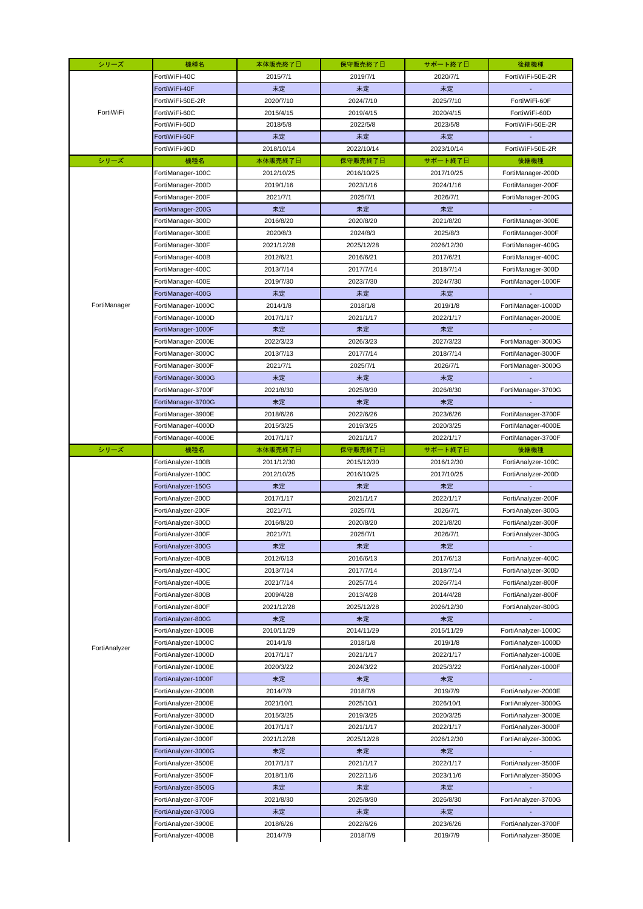| シリーズ          | 機種名                 | 本体販売終了日    | 保守販売終了日    | サポート終了日    | 後継機種                |
|---------------|---------------------|------------|------------|------------|---------------------|
|               | FortiWiFi-40C       | 2015/7/1   | 2019/7/1   | 2020/7/1   | FortiWiFi-50E-2R    |
|               | FortiWiFi-40F       | 未定         | 未定         | 未定         |                     |
|               | FortiWiFi-50E-2R    | 2020/7/10  | 2024/7/10  | 2025/7/10  | FortiWiFi-60F       |
| FortiWiFi     | FortiWiFi-60C       | 2015/4/15  | 2019/4/15  | 2020/4/15  | FortiWiFi-60D       |
|               | FortiWiFi-60D       | 2018/5/8   | 2022/5/8   | 2023/5/8   | FortiWiFi-50E-2R    |
|               | FortiWiFi-60F       | 未定         | 未定         | 未定         |                     |
|               | FortiWiFi-90D       | 2018/10/14 | 2022/10/14 | 2023/10/14 | FortiWiFi-50E-2R    |
| シリーズ          | 機種名                 | 本体販売終了日    | 保守販売終了日    | サポート終了日    | 後継機種                |
|               | FortiManager-100C   | 2012/10/25 | 2016/10/25 | 2017/10/25 | FortiManager-200D   |
|               | FortiManager-200D   | 2019/1/16  | 2023/1/16  | 2024/1/16  | FortiManager-200F   |
|               | FortiManager-200F   | 2021/7/1   | 2025/7/1   | 2026/7/1   | FortiManager-200G   |
|               | FortiManager-200G   | 未定         | 未定         | 未定         |                     |
|               | FortiManager-300D   | 2016/8/20  | 2020/8/20  | 2021/8/20  | FortiManager-300E   |
|               | FortiManager-300E   | 2020/8/3   | 2024/8/3   | 2025/8/3   | FortiManager-300F   |
|               | FortiManager-300F   | 2021/12/28 | 2025/12/28 | 2026/12/30 | FortiManager-400G   |
|               | FortiManager-400B   | 2012/6/21  | 2016/6/21  | 2017/6/21  | FortiManager-400C   |
|               | FortiManager-400C   | 2013/7/14  | 2017/7/14  | 2018/7/14  | FortiManager-300D   |
|               | FortiManager-400E   | 2019/7/30  | 2023/7/30  | 2024/7/30  | FortiManager-1000F  |
|               | FortiManager-400G   | 未定         | 未定         | 未定         |                     |
| FortiManager  | FortiManager-1000C  | 2014/1/8   | 2018/1/8   | 2019/1/8   | FortiManager-1000D  |
|               | FortiManager-1000D  | 2017/1/17  | 2021/1/17  | 2022/1/17  | FortiManager-2000E  |
|               | FortiManager-1000F  | 未定         | 未定         | 未定         |                     |
|               | FortiManager-2000E  | 2022/3/23  | 2026/3/23  | 2027/3/23  | FortiManager-3000G  |
|               | FortiManager-3000C  | 2013/7/13  | 2017/7/14  | 2018/7/14  | FortiManager-3000F  |
|               | FortiManager-3000F  | 2021/7/1   | 2025/7/1   | 2026/7/1   | FortiManager-3000G  |
|               | FortiManager-3000G  | 未定         | 未定         | 未定         |                     |
|               | FortiManager-3700F  | 2021/8/30  | 2025/8/30  | 2026/8/30  |                     |
|               |                     |            |            |            | FortiManager-3700G  |
|               | FortiManager-3700G  | 未定         | 未定         | 未定         |                     |
|               | FortiManager-3900E  | 2018/6/26  | 2022/6/26  | 2023/6/26  | FortiManager-3700F  |
|               | FortiManager-4000D  | 2015/3/25  | 2019/3/25  | 2020/3/25  | FortiManager-4000E  |
|               | FortiManager-4000E  | 2017/1/17  | 2021/1/17  | 2022/1/17  | FortiManager-3700F  |
| シリーズ          | 機種名                 | 本体販売終了日    | 保守販売終了日    | サポート終了日    | 後継機種                |
|               | FortiAnalyzer-100B  | 2011/12/30 | 2015/12/30 | 2016/12/30 | FortiAnalyzer-100C  |
|               | FortiAnalyzer-100C  | 2012/10/25 | 2016/10/25 | 2017/10/25 | FortiAnalyzer-200D  |
|               | FortiAnalyzer-150G  | 未定         | 未定         | 未定         |                     |
|               | FortiAnalyzer-200D  | 2017/1/17  | 2021/1/17  | 2022/1/17  | FortiAnalyzer-200F  |
|               | FortiAnalyzer-200F  | 2021/7/1   | 2025/7/1   | 2026/7/1   | FortiAnalyzer-300G  |
|               | FortiAnalyzer-300D  | 2016/8/20  | 2020/8/20  | 2021/8/20  | FortiAnalyzer-300F  |
|               | FortiAnalyzer-300F  | 2021/7/1   | 2025/7/1   | 2026/7/1   | FortiAnalyzer-300G  |
|               | FortiAnalyzer-300G  | 未定         | 未定         | 未定         | ٠                   |
|               | FortiAnalyzer-400B  | 2012/6/13  | 2016/6/13  | 2017/6/13  | FortiAnalyzer-400C  |
|               | FortiAnalyzer-400C  | 2013/7/14  | 2017/7/14  | 2018/7/14  | FortiAnalyzer-300D  |
|               | FortiAnalyzer-400E  | 2021/7/14  | 2025/7/14  | 2026/7/14  | FortiAnalyzer-800F  |
|               | FortiAnalyzer-800B  | 2009/4/28  | 2013/4/28  | 2014/4/28  | FortiAnalyzer-800F  |
|               | FortiAnalyzer-800F  | 2021/12/28 | 2025/12/28 | 2026/12/30 | FortiAnalyzer-800G  |
|               | FortiAnalyzer-800G  | 未定         | 未定         | 未定         |                     |
|               | FortiAnalyzer-1000B | 2010/11/29 | 2014/11/29 | 2015/11/29 | FortiAnalyzer-1000C |
| FortiAnalyzer | FortiAnalyzer-1000C | 2014/1/8   | 2018/1/8   | 2019/1/8   | FortiAnalyzer-1000D |
|               | FortiAnalyzer-1000D | 2017/1/17  | 2021/1/17  | 2022/1/17  | FortiAnalyzer-1000E |
|               | FortiAnalyzer-1000E | 2020/3/22  | 2024/3/22  | 2025/3/22  | FortiAnalyzer-1000F |
|               | FortiAnalyzer-1000F | 未定         | 未定         | 未定         |                     |
|               | FortiAnalyzer-2000B | 2014/7/9   | 2018/7/9   | 2019/7/9   | FortiAnalyzer-2000E |
|               | FortiAnalyzer-2000E | 2021/10/1  | 2025/10/1  | 2026/10/1  | FortiAnalyzer-3000G |
|               | FortiAnalyzer-3000D | 2015/3/25  | 2019/3/25  | 2020/3/25  | FortiAnalyzer-3000E |
|               | FortiAnalyzer-3000E | 2017/1/17  | 2021/1/17  | 2022/1/17  | FortiAnalyzer-3000F |
|               | FortiAnalyzer-3000F | 2021/12/28 | 2025/12/28 | 2026/12/30 | FortiAnalyzer-3000G |
|               | FortiAnalyzer-3000G | 未定         | 未定         | 未定         |                     |
|               | FortiAnalyzer-3500E | 2017/1/17  | 2021/1/17  | 2022/1/17  | FortiAnalyzer-3500F |
|               | FortiAnalyzer-3500F | 2018/11/6  | 2022/11/6  | 2023/11/6  | FortiAnalyzer-3500G |
|               | FortiAnalyzer-3500G | 未定         | 未定         | 未定         |                     |
|               | FortiAnalyzer-3700F | 2021/8/30  | 2025/8/30  | 2026/8/30  | FortiAnalyzer-3700G |
|               | FortiAnalyzer-3700G | 未定         | 未定         | 未定         |                     |
|               | FortiAnalyzer-3900E | 2018/6/26  | 2022/6/26  | 2023/6/26  | FortiAnalyzer-3700F |
|               | FortiAnalyzer-4000B | 2014/7/9   | 2018/7/9   | 2019/7/9   | FortiAnalyzer-3500E |
|               |                     |            |            |            |                     |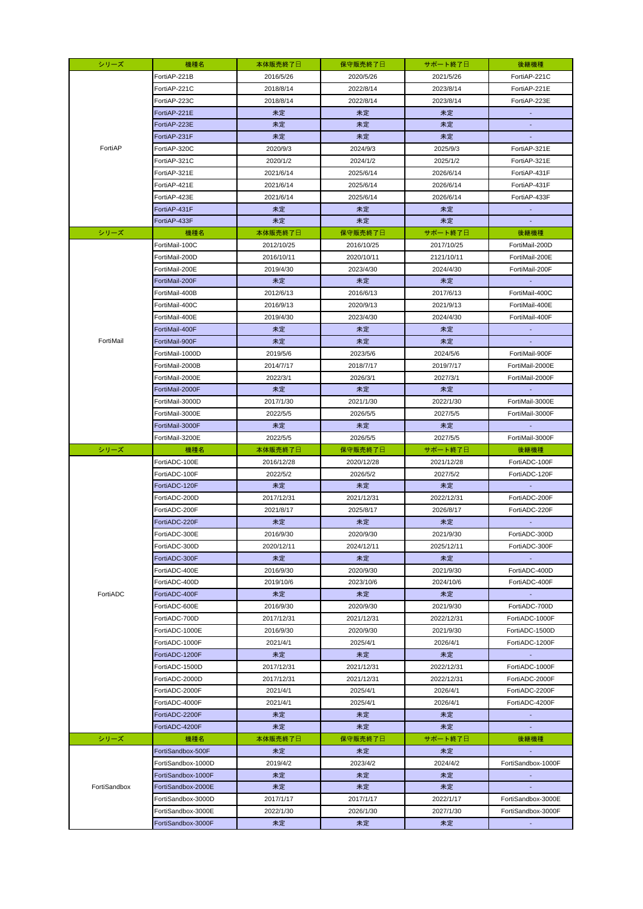| シリーズ         | 機種名                | 本体販売終了日    | 保守販売終了日    | サポート終了日    | 後継機種                        |
|--------------|--------------------|------------|------------|------------|-----------------------------|
|              | FortiAP-221B       | 2016/5/26  | 2020/5/26  | 2021/5/26  | FortiAP-221C                |
|              | FortiAP-221C       | 2018/8/14  | 2022/8/14  | 2023/8/14  | FortiAP-221E                |
|              | FortiAP-223C       | 2018/8/14  | 2022/8/14  | 2023/8/14  | FortiAP-223E                |
|              | FortiAP-221E       | 未定         | 未定         | 未定         |                             |
|              | FortiAP-223E       | 未定         | 未定         | 未定         | $\overline{\phantom{a}}$    |
|              | FortiAP-231F       | 未定         | 未定         | 未定         | ٠                           |
| FortiAP      | FortiAP-320C       | 2020/9/3   | 2024/9/3   | 2025/9/3   | FortiAP-321E                |
|              | FortiAP-321C       | 2020/1/2   | 2024/1/2   | 2025/1/2   | FortiAP-321E                |
|              | FortiAP-321E       | 2021/6/14  | 2025/6/14  | 2026/6/14  | FortiAP-431F                |
|              | FortiAP-421E       | 2021/6/14  | 2025/6/14  | 2026/6/14  | FortiAP-431F                |
|              | FortiAP-423E       | 2021/6/14  | 2025/6/14  | 2026/6/14  | FortiAP-433F                |
|              | FortiAP-431F       | 未定         | 未定         | 未定         | $\sim$                      |
|              | FortiAP-433F       | 未定         | 未定         | 未定         | $\overline{\phantom{a}}$    |
| シリーズ         | 機種名                | 本体販売終了日    | 保守販売終了日    | サポート終了日    | 後継機種                        |
|              | FortiMail-100C     | 2012/10/25 | 2016/10/25 | 2017/10/25 | FortiMail-200D              |
|              | FortiMail-200D     | 2016/10/11 | 2020/10/11 | 2121/10/11 | FortiMail-200E              |
|              | FortiMail-200E     | 2019/4/30  | 2023/4/30  | 2024/4/30  | FortiMail-200F              |
|              | FortiMail-200F     | 未定         | 未定         | 未定         |                             |
|              | FortiMail-400B     | 2012/6/13  | 2016/6/13  | 2017/6/13  | FortiMail-400C              |
|              | FortiMail-400C     | 2016/9/13  | 2020/9/13  | 2021/9/13  | FortiMail-400E              |
|              | FortiMail-400E     | 2019/4/30  | 2023/4/30  | 2024/4/30  | FortiMail-400F              |
|              | FortiMail-400F     | 未定         | 未定         | 未定         |                             |
| FortiMail    | FortiMail-900F     | 未定         | 未定         | 未定         |                             |
|              | FortiMail-1000D    | 2019/5/6   | 2023/5/6   | 2024/5/6   | FortiMail-900F              |
|              | FortiMail-2000B    | 2014/7/17  | 2018/7/17  | 2019/7/17  | FortiMail-2000E             |
|              | FortiMail-2000E    |            |            |            |                             |
|              |                    | 2022/3/1   | 2026/3/1   | 2027/3/1   | FortiMail-2000F             |
|              | FortiMail-2000F    | 未定         | 未定         | 未定         |                             |
|              | FortiMail-3000D    | 2017/1/30  | 2021/1/30  | 2022/1/30  | FortiMail-3000E             |
|              | FortiMail-3000E    | 2022/5/5   | 2026/5/5   | 2027/5/5   | FortiMail-3000F             |
|              | FortiMail-3000F    | 未定         | 未定         | 未定         |                             |
|              | FortiMail-3200E    | 2022/5/5   | 2026/5/5   | 2027/5/5   | FortiMail-3000F             |
|              |                    |            |            |            |                             |
| シリーズ         | 機種名                | 本体販売終了日    | 保守販売終了日    | サポート終了日    | 後継機種                        |
|              | FortiADC-100E      | 2016/12/28 | 2020/12/28 | 2021/12/28 | FortiADC-100F               |
|              | FortiADC-100F      | 2022/5/2   | 2026/5/2   | 2027/5/2   | FortiADC-120F               |
|              | FortiADC-120F      | 未定         | 未定         | 未定         |                             |
|              | FortiADC-200D      | 2017/12/31 | 2021/12/31 | 2022/12/31 | FortiADC-200F               |
|              | FortiADC-200F      | 2021/8/17  | 2025/8/17  | 2026/8/17  | FortiADC-220F               |
|              | FortiADC-220F      | 未定         | 未定         | 未定         |                             |
|              | FortiADC-300E      | 2016/9/30  | 2020/9/30  | 2021/9/30  | FortiADC-300D               |
|              | FortiADC-300D      | 2020/12/11 | 2024/12/11 | 2025/12/11 | FortiADC-300F               |
|              | FortiADC-300F      | 未定         | 未定         | 未定         |                             |
|              | FortiADC-400E      | 2016/9/30  | 2020/9/30  | 2021/9/30  | FortiADC-400D               |
|              | FortiADC-400D      | 2019/10/6  | 2023/10/6  | 2024/10/6  | FortiADC-400F               |
| FortiADC     | FortiADC-400F      | 未定         | 未定         | 未定         | <b>College</b>              |
|              | FortiADC-600E      | 2016/9/30  | 2020/9/30  | 2021/9/30  | FortiADC-700D               |
|              | FortiADC-700D      | 2017/12/31 | 2021/12/31 | 2022/12/31 | FortiADC-1000F              |
|              | FortiADC-1000E     | 2016/9/30  | 2020/9/30  | 2021/9/30  | FortiADC-1500D              |
|              | FortiADC-1000F     | 2021/4/1   | 2025/4/1   | 2026/4/1   | FortiADC-1200F              |
|              | FortiADC-1200F     | 未定         | 未定         | 未定         |                             |
|              | FortiADC-1500D     | 2017/12/31 | 2021/12/31 | 2022/12/31 | FortiADC-1000F              |
|              | FortiADC-2000D     | 2017/12/31 | 2021/12/31 | 2022/12/31 | FortiADC-2000F              |
|              | FortiADC-2000F     | 2021/4/1   | 2025/4/1   | 2026/4/1   | FortiADC-2200F              |
|              | FortiADC-4000F     | 2021/4/1   | 2025/4/1   | 2026/4/1   | FortiADC-4200F              |
|              | FortiADC-2200F     | 未定         | 未定         | 未定         | $\mathcal{L}_{\mathcal{A}}$ |
|              | FortiADC-4200F     | 未定         | 未定         | 未定         | ÷                           |
| シリーズ         | 機種名                | 本体販売終了日    | 保守販売終了日    | サポート終了日    | 後継機種                        |
|              | FortiSandbox-500F  | 未定         | 未定         | 未定         |                             |
|              | FortiSandbox-1000D | 2019/4/2   | 2023/4/2   | 2024/4/2   | FortiSandbox-1000F          |
|              | FortiSandbox-1000F | 未定         | 未定         | 未定         |                             |
| FortiSandbox | FortiSandbox-2000E | 未定         | 未定         | 未定         |                             |
|              | FortiSandbox-3000D | 2017/1/17  | 2017/1/17  | 2022/1/17  | FortiSandbox-3000E          |
|              | FortiSandbox-3000E | 2022/1/30  | 2026/1/30  | 2027/1/30  | FortiSandbox-3000F          |